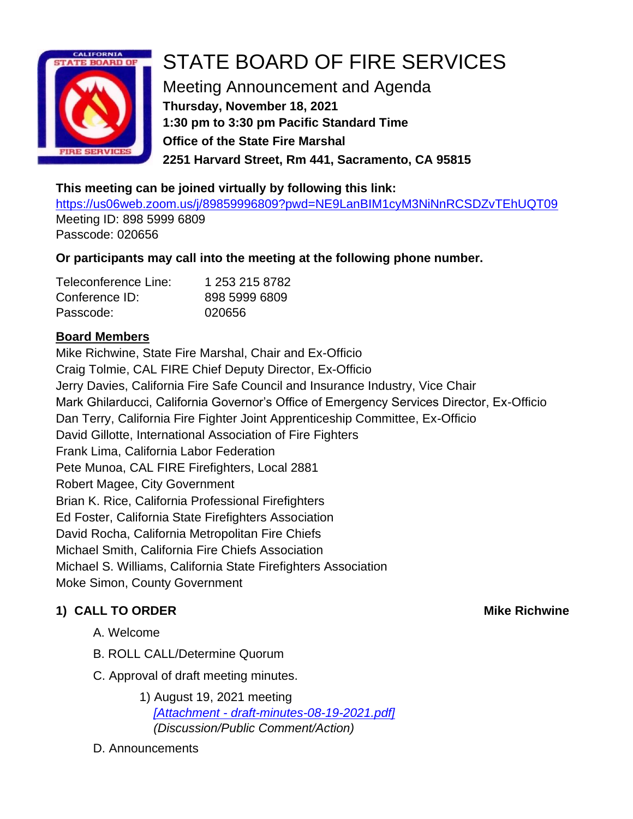

# STATE BOARD OF FIRE SERVICES

Meeting Announcement and Agenda **Thursday, November 18, 2021 1:30 pm to 3:30 pm Pacific Standard Time Office of the State Fire Marshal 2251 Harvard Street, Rm 441, Sacramento, CA 95815**

## **This meeting can be joined virtually by following this link:**

<https://us06web.zoom.us/j/89859996809?pwd=NE9LanBIM1cyM3NiNnRCSDZvTEhUQT09> Meeting ID: 898 5999 6809 Passcode: 020656

# **Or participants may call into the meeting at the following phone number.**

| Teleconference Line: | 1 253 215 8782 |
|----------------------|----------------|
| Conference ID:       | 898 5999 6809  |
| Passcode:            | 020656         |

# **Board Members**

Mike Richwine, State Fire Marshal, Chair and Ex-Officio Craig Tolmie, CAL FIRE Chief Deputy Director, Ex-Officio Jerry Davies, California Fire Safe Council and Insurance Industry, Vice Chair Mark Ghilarducci, California Governor's Office of Emergency Services Director, Ex-Officio Dan Terry, California Fire Fighter Joint Apprenticeship Committee, Ex-Officio David Gillotte, International Association of Fire Fighters Frank Lima, California Labor Federation Pete Munoa, CAL FIRE Firefighters, Local 2881 Robert Magee, City Government Brian K. Rice, California Professional Firefighters Ed Foster, California State Firefighters Association David Rocha, California Metropolitan Fire Chiefs Michael Smith, California Fire Chiefs Association Michael S. Williams, California State Firefighters Association Moke Simon, County Government

# **1) CALL TO ORDER Mike Richwine**

- A. Welcome
- B. ROLL CALL/Determine Quorum
- C. Approval of draft meeting minutes.
	- 1) August 19, 2021 meeting *[Attachment - [draft-minutes-08-19-2021.pdf\]](https://www.fire.ca.gov/media/qs4jubjo/draft-minutes-08-19-2021.pdf) (Discussion/Public Comment/Action)*

# D. Announcements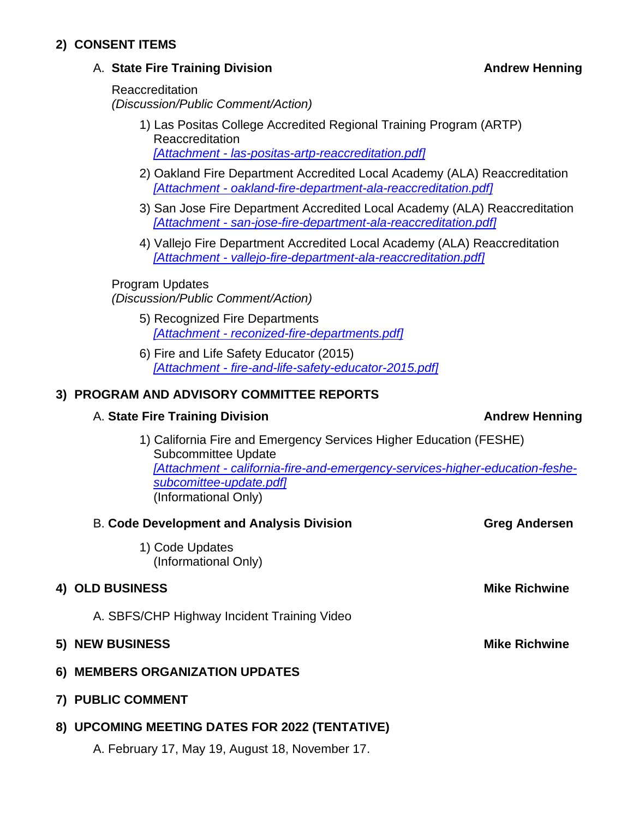### **2) CONSENT ITEMS**

### A. **State Fire Training Division Andrew Henning**

Reaccreditation *(Discussion/Public Comment/Action)*

- 1) Las Positas College Accredited Regional Training Program (ARTP) Reaccreditation *[Attachment - [las-positas-artp-reaccreditation.pdf\]](https://osfm.fire.ca.gov/media/j23lmbll/las-positas-artp-reaccreditation.pdf)*
- 2) Oakland Fire Department Accredited Local Academy (ALA) Reaccreditation *[Attachment - [oakland-fire-department-ala-reaccreditation.pdf\]](https://osfm.fire.ca.gov/media/zp2kr5dj/oakland-fire-department-ala-reaccreditation.pdf)*
- 3) San Jose Fire Department Accredited Local Academy (ALA) Reaccreditation *[Attachment - [san-jose-fire-department-ala-reaccreditation.pdf\]](https://osfm.fire.ca.gov/media/4a0nbdhk/san-jose-fire-department-ala-reaccreditation.pdf)*
- 4) Vallejo Fire Department Accredited Local Academy (ALA) Reaccreditation *[Attachment - [vallejo-fire-department-ala-reaccreditation.pdf\]](https://osfm.fire.ca.gov/media/x5danslr/vallejo-fire-department-ala-reaccreditation.pdf)*

# Program Updates

*(Discussion/Public Comment/Action)*

- 5) Recognized Fire Departments *[Attachment - [reconized-fire-departments.pdf\]](https://osfm.fire.ca.gov/media/wb4lwh3i/reconized-fire-departments.pdf)*
- 6) Fire and Life Safety Educator (2015) *[Attachment - [fire-and-life-safety-educator-2015.pdf\]](https://osfm.fire.ca.gov/media/dldefcwg/fire-and-life-safety-educator-2015.pdf)*

### **3) PROGRAM AND ADVISORY COMMITTEE REPORTS**

### A. **State Fire Training Division Andrew Henning**

1) California Fire and Emergency Services Higher Education (FESHE) Subcommittee Update *[Attachment - [california-fire-and-emergency-services-higher-education-feshe](https://osfm.fire.ca.gov/media/rbbljckr/california-fire-and-emergency-services-higher-education-feshe-subcomittee-update.pdf)[subcomittee-update.pdf\]](https://osfm.fire.ca.gov/media/rbbljckr/california-fire-and-emergency-services-higher-education-feshe-subcomittee-update.pdf)* (Informational Only)

| <b>B. Code Development and Analysis Division</b> | <b>Greg Andersen</b> |
|--------------------------------------------------|----------------------|
| 1) Code Updates<br>(Informational Only)          |                      |
| <b>4) OLD BUSINESS</b>                           | <b>Mike Richwine</b> |
| A. SBFS/CHP Highway Incident Training Video      |                      |
| <b>5) NEW BUSINESS</b>                           | <b>Mike Richwine</b> |
| 6) MEMBERS ORGANIZATION UPDATES                  |                      |
| 7) PUBLIC COMMENT                                |                      |
| 8) UPCOMING MEETING DATES FOR 2022 (TENTATIVE)   |                      |
| A. February 17, May 19, August 18, November 17.  |                      |